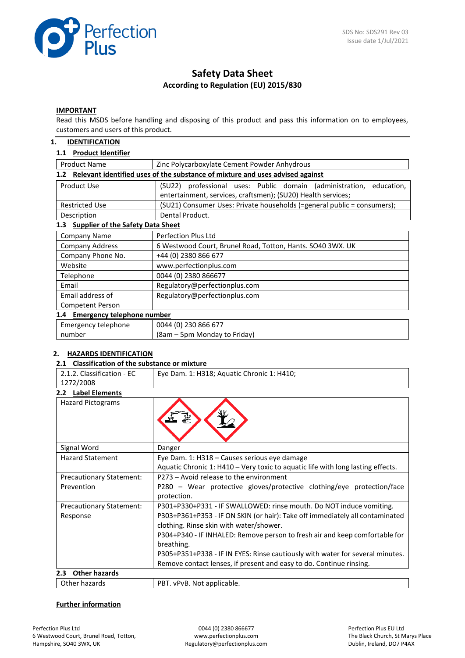

# **Safety Data Sheet According to Regulation (EU) 2015/830**

## **IMPORTANT**

Read this MSDS before handling and disposing of this product and pass this information on to employees, customers and users of this product.

## **1. IDENTIFICATION**

#### **1.1 Product Identifier**

| <b>Product Name</b>                             | Zinc Polycarboxylate Cement Powder Anhydrous                                                                                           |  |  |  |  |
|-------------------------------------------------|----------------------------------------------------------------------------------------------------------------------------------------|--|--|--|--|
| 1.2 <sub>2</sub>                                | Relevant identified uses of the substance of mixture and uses advised against                                                          |  |  |  |  |
| Product Use                                     | (SU22) professional uses: Public domain (administration,<br>education,<br>entertainment, services, craftsmen); (SU20) Health services; |  |  |  |  |
| <b>Restricted Use</b>                           | (SU21) Consumer Uses: Private households (=general public = consumers);                                                                |  |  |  |  |
| Description                                     | Dental Product.                                                                                                                        |  |  |  |  |
| <b>Supplier of the Safety Data Sheet</b><br>1.3 |                                                                                                                                        |  |  |  |  |
| Company Name                                    | Perfection Plus Ltd                                                                                                                    |  |  |  |  |
| <b>Company Address</b>                          | 6 Westwood Court, Brunel Road, Totton, Hants. SO40 3WX. UK                                                                             |  |  |  |  |
| Company Phone No.                               | +44 (0) 2380 866 677                                                                                                                   |  |  |  |  |
| Website                                         | www.perfectionplus.com                                                                                                                 |  |  |  |  |
| Telephone                                       | 0044 (0) 2380 866677                                                                                                                   |  |  |  |  |
| Email                                           | Regulatory@perfectionplus.com                                                                                                          |  |  |  |  |
| Email address of                                | Regulatory@perfectionplus.com                                                                                                          |  |  |  |  |
| Competent Person                                |                                                                                                                                        |  |  |  |  |
|                                                 | 1.4 Emergency telephone number                                                                                                         |  |  |  |  |
| Emergency telephone                             | 0044 (0) 230 866 677                                                                                                                   |  |  |  |  |
| number                                          | (8am – 5pm Monday to Friday)                                                                                                           |  |  |  |  |

#### **2. HAZARDS IDENTIFICATION**

#### **2.1 Classification of the substance or mixture**

| 2.1.2. Classification - EC<br>1272/2008  | Eye Dam. 1: H318; Aquatic Chronic 1: H410;                                                                                      |
|------------------------------------------|---------------------------------------------------------------------------------------------------------------------------------|
| 2.2 Label Elements                       |                                                                                                                                 |
| <b>Hazard Pictograms</b>                 |                                                                                                                                 |
| Signal Word                              | Danger                                                                                                                          |
| <b>Hazard Statement</b>                  | Eye Dam. 1: H318 - Causes serious eye damage<br>Aquatic Chronic 1: H410 - Very toxic to aquatic life with long lasting effects. |
| <b>Precautionary Statement:</b>          | P273 - Avoid release to the environment                                                                                         |
| Prevention                               | P280 - Wear protective gloves/protective clothing/eye protection/face<br>protection.                                            |
| <b>Precautionary Statement:</b>          | P301+P330+P331 - IF SWALLOWED: rinse mouth. Do NOT induce vomiting.                                                             |
| Response                                 | P303+P361+P353 - IF ON SKIN (or hair): Take off immediately all contaminated                                                    |
|                                          | clothing. Rinse skin with water/shower.                                                                                         |
|                                          | P304+P340 - IF INHALED: Remove person to fresh air and keep comfortable for                                                     |
|                                          | breathing.                                                                                                                      |
|                                          | P305+P351+P338 - IF IN EYES: Rinse cautiously with water for several minutes.                                                   |
|                                          | Remove contact lenses, if present and easy to do. Continue rinsing.                                                             |
| <b>Other hazards</b><br>2.3 <sub>2</sub> |                                                                                                                                 |
| Other hazards                            | PBT. vPvB. Not applicable.                                                                                                      |

#### **Further information**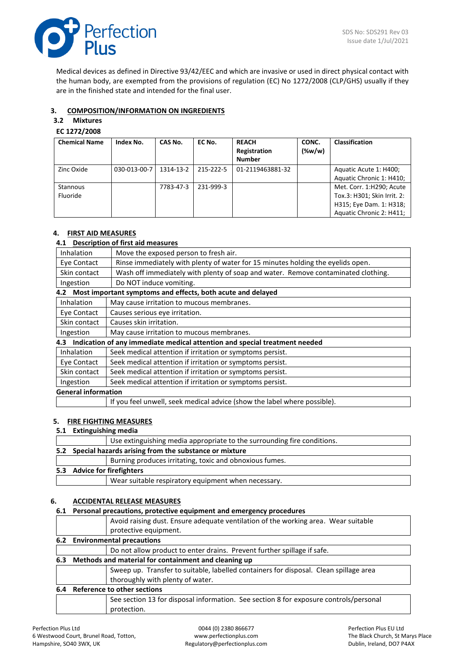

Medical devices as defined in Directive 93/42/EEC and which are invasive or used in direct physical contact with the human body, are exempted from the provisions of regulation (EC) No 1272/2008 (CLP/GHS) usually if they are in the finished state and intended for the final user.

## **3. COMPOSITION/INFORMATION ON INGREDIENTS**

# **3.2 Mixtures**

## **EC 1272/2008**

| <b>Chemical Name</b> | Index No.    | CAS No.   | EC No.    | <b>REACH</b><br>Registration<br><b>Number</b> | CONC.<br>$(\%w/w)$ | <b>Classification</b>       |
|----------------------|--------------|-----------|-----------|-----------------------------------------------|--------------------|-----------------------------|
| Zinc Oxide           | 030-013-00-7 | 1314-13-2 | 215-222-5 | 01-2119463881-32                              |                    | Aquatic Acute 1: H400;      |
|                      |              |           |           |                                               |                    | Aquatic Chronic 1: H410;    |
| <b>Stannous</b>      |              | 7783-47-3 | 231-999-3 |                                               |                    | Met. Corr. 1:H290; Acute    |
| <b>Fluoride</b>      |              |           |           |                                               |                    | Tox.3: H301; Skin Irrit. 2: |
|                      |              |           |           |                                               |                    | H315; Eye Dam. 1: H318;     |
|                      |              |           |           |                                               |                    | Aquatic Chronic 2: H411;    |

## **4. FIRST AID MEASURES**

## **4.1 Description of first aid measures**

| Inhalation                                                                     | Move the exposed person to fresh air.                                             |  |
|--------------------------------------------------------------------------------|-----------------------------------------------------------------------------------|--|
| Eye Contact                                                                    | Rinse immediately with plenty of water for 15 minutes holding the eyelids open.   |  |
| Skin contact                                                                   | Wash off immediately with plenty of soap and water. Remove contaminated clothing. |  |
| Ingestion                                                                      | Do NOT induce vomiting.                                                           |  |
| 4.2 Most important symptoms and effects, both acute and delayed                |                                                                                   |  |
| <b>Inhalation</b>                                                              | May cause irritation to mucous membranes.                                         |  |
| Eye Contact                                                                    | Causes serious eye irritation.                                                    |  |
| Skin contact                                                                   | Causes skin irritation.                                                           |  |
| Ingestion                                                                      | May cause irritation to mucous membranes.                                         |  |
| 4.3 Indication of any immediate medical attention and special treatment needed |                                                                                   |  |

| Inhalation                 | Seek medical attention if irritation or symptoms persist.                |  |
|----------------------------|--------------------------------------------------------------------------|--|
| Eve Contact                | Seek medical attention if irritation or symptoms persist.                |  |
| Skin contact               | Seek medical attention if irritation or symptoms persist.                |  |
| Ingestion                  | Seek medical attention if irritation or symptoms persist.                |  |
| <b>General information</b> |                                                                          |  |
|                            | If you feel unwell, seek medical advice (show the label where possible). |  |

If you feel unwell, seek medical advice (show the label where possible).

#### **5. FIRE FIGHTING MEASURES**

## **5.1 Extinguishing media**

|  | Use extinguishing media appropriate to the surrounding fire conditions. |
|--|-------------------------------------------------------------------------|
|  | 5.2 Special hazards arising from the substance or mixture               |
|  | Burning produces irritating, toxic and obnoxious fumes.                 |
|  | 5.3 Advice for firefighters                                             |
|  | Wear suitable respiratory equipment when necessary.                     |
|  |                                                                         |

## **6. ACCIDENTAL RELEASE MEASURES**

| 6.1 | Personal precautions, protective equipment and emergency procedures                   |  |  |
|-----|---------------------------------------------------------------------------------------|--|--|
|     | Avoid raising dust. Ensure adequate ventilation of the working area. Wear suitable    |  |  |
|     | protective equipment.                                                                 |  |  |
|     | 6.2 Environmental precautions                                                         |  |  |
|     | Do not allow product to enter drains. Prevent further spillage if safe.               |  |  |
|     | 6.3 Methods and material for containment and cleaning up                              |  |  |
|     | Sweep up. Transfer to suitable, labelled containers for disposal. Clean spillage area |  |  |
|     | thoroughly with plenty of water.                                                      |  |  |
|     | 6.4 Reference to other sections                                                       |  |  |
|     | See section 13 for disposal information. See section 8 for exposure controls/personal |  |  |
|     | protection.                                                                           |  |  |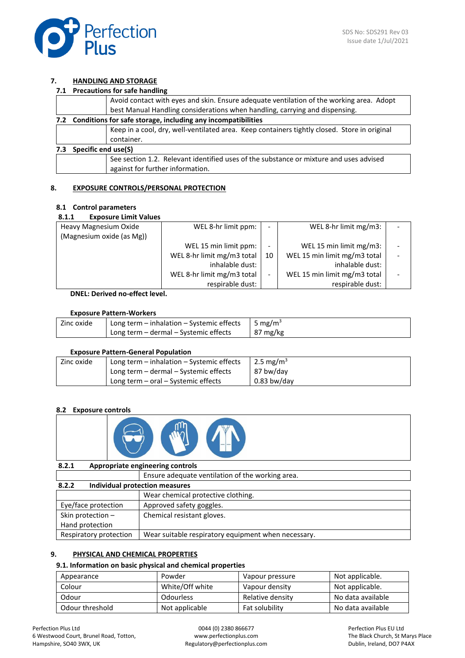

## **7. HANDLING AND STORAGE**

|  | 7.1 Precautions for safe handling |  |  |
|--|-----------------------------------|--|--|
|--|-----------------------------------|--|--|

|     |                                                                                        | Avoid contact with eyes and skin. Ensure adequate ventilation of the working area. Adopt     |  |
|-----|----------------------------------------------------------------------------------------|----------------------------------------------------------------------------------------------|--|
|     |                                                                                        | best Manual Handling considerations when handling, carrying and dispensing.                  |  |
|     | 7.2 Conditions for safe storage, including any incompatibilities                       |                                                                                              |  |
|     |                                                                                        | Keep in a cool, dry, well-ventilated area. Keep containers tightly closed. Store in original |  |
|     |                                                                                        | container.                                                                                   |  |
| 7.3 | Specific end use(S)                                                                    |                                                                                              |  |
|     | See section 1.2. Relevant identified uses of the substance or mixture and uses advised |                                                                                              |  |
|     |                                                                                        | against for further information.                                                             |  |
|     |                                                                                        |                                                                                              |  |

## **8. EXPOSURE CONTROLS/PERSONAL PROTECTION**

## **8.1 Control parameters**

#### **8.1.1 Exposure Limit Values**

| Heavy Magnesium Oxide<br>(Magnesium oxide (as Mg)) | WEL 8-hr limit ppm:        | $\overline{\phantom{0}}$ | WEL 8-hr limit mg/m3:        |  |
|----------------------------------------------------|----------------------------|--------------------------|------------------------------|--|
|                                                    | WEL 15 min limit ppm:      |                          | WEL 15 min limit mg/m3:      |  |
|                                                    | WEL 8-hr limit mg/m3 total | 10                       | WEL 15 min limit mg/m3 total |  |
|                                                    | inhalable dust:            |                          | inhalable dust:              |  |
|                                                    | WEL 8-hr limit mg/m3 total | -                        | WEL 15 min limit mg/m3 total |  |
|                                                    | respirable dust:           |                          | respirable dust:             |  |

## **DNEL: Derived no-effect level.**

#### **Exposure Pattern-Workers**

| Zinc oxide | Long term - inhalation - Systemic effects | 5 mg/m <sup>3</sup> |
|------------|-------------------------------------------|---------------------|
|            | Long term – dermal – Systemic effects     | $87 \text{ mg/kg}$  |

## **Exposure Pattern-General Population**

| Zinc oxide | Long term - inhalation - Systemic effects | 2.5 mg/m <sup>3</sup> |
|------------|-------------------------------------------|-----------------------|
|            | Long term - dermal - Systemic effects     | 87 bw/day             |
|            | Long term - oral - Systemic effects       | $0.83$ bw/day         |

## **8.2 Exposure controls**



| 8.2.1                  | Appropriate engineering controls                    |  |
|------------------------|-----------------------------------------------------|--|
|                        | Ensure adequate ventilation of the working area.    |  |
| 8.2.2                  | Individual protection measures                      |  |
|                        | Wear chemical protective clothing.                  |  |
| Eye/face protection    | Approved safety goggles.                            |  |
| Skin protection -      | Chemical resistant gloves.                          |  |
| Hand protection        |                                                     |  |
| Respiratory protection | Wear suitable respiratory equipment when necessary. |  |

## **9. PHYSICAL AND CHEMICAL PROPERTIES**

## **9.1. Information on basic physical and chemical properties**

| Appearance      | Powder           | Vapour pressure  | Not applicable.   |
|-----------------|------------------|------------------|-------------------|
| Colour          | White/Off white  | Vapour density   | Not applicable.   |
| Odour           | <b>Odourless</b> | Relative density | No data available |
| Odour threshold | Not applicable   | Fat solubility   | No data available |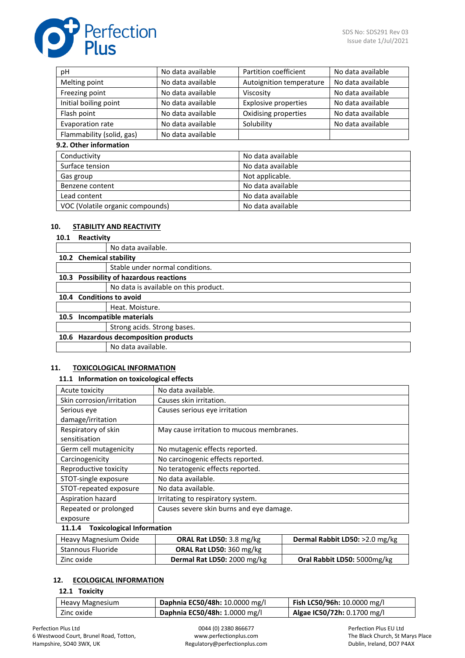

| рH                               | No data available | Partition coefficient       | No data available |  |  |
|----------------------------------|-------------------|-----------------------------|-------------------|--|--|
| Melting point                    | No data available | Autoignition temperature    | No data available |  |  |
| Freezing point                   | No data available | Viscosity                   | No data available |  |  |
| Initial boiling point            | No data available | <b>Explosive properties</b> | No data available |  |  |
| Flash point                      | No data available | Oxidising properties        | No data available |  |  |
| Evaporation rate                 | No data available | Solubility                  | No data available |  |  |
| Flammability (solid, gas)        | No data available |                             |                   |  |  |
| 9.2. Other information           |                   |                             |                   |  |  |
| Conductivity                     |                   | No data available           |                   |  |  |
| Surface tension                  |                   | No data available           |                   |  |  |
| Gas group                        |                   | Not applicable.             |                   |  |  |
| Benzene content                  |                   | No data available           |                   |  |  |
| Lead content                     |                   | No data available           |                   |  |  |
| VOC (Volatile organic compounds) |                   | No data available           |                   |  |  |

#### **10. STABILITY AND REACTIVITY**

#### **10.1 Reactivity**

|                          | No data available.                      |
|--------------------------|-----------------------------------------|
| 10.2 Chemical stability  |                                         |
|                          | Stable under normal conditions.         |
|                          | 10.3 Possibility of hazardous reactions |
|                          | No data is available on this product.   |
| 10.4 Conditions to avoid |                                         |
|                          | Heat. Moisture.                         |
|                          | 10.5 Incompatible materials             |
|                          | Strong acids. Strong bases.             |
|                          | 10.6 Hazardous decomposition products   |
|                          | No data available.                      |

#### **11. TOXICOLOGICAL INFORMATION**

#### **11.1 Information on toxicological effects**

| Acute toxicity            | No data available.                        |
|---------------------------|-------------------------------------------|
| Skin corrosion/irritation | Causes skin irritation.                   |
| Serious eye               | Causes serious eye irritation             |
| damage/irritation         |                                           |
| Respiratory of skin       | May cause irritation to mucous membranes. |
| sensitisation             |                                           |
| Germ cell mutagenicity    | No mutagenic effects reported.            |
| Carcinogenicity           | No carcinogenic effects reported.         |
| Reproductive toxicity     | No teratogenic effects reported.          |
| STOT-single exposure      | No data available.                        |
| STOT-repeated exposure    | No data available.                        |
| Aspiration hazard         | Irritating to respiratory system.         |
| Repeated or prolonged     | Causes severe skin burns and eye damage.  |
| exposure                  |                                           |
|                           |                                           |

#### **11.1.4 Toxicological Information**

| Heavy Magnesium Oxide | <b>ORAL Rat LD50:</b> 3.8 mg/kg | <b>Dermal Rabbit LD50:</b> $>2.0$ mg/kg |
|-----------------------|---------------------------------|-----------------------------------------|
| Stannous Fluoride     | <b>ORAL Rat LD50: 360 mg/kg</b> |                                         |
| Zinc oxide            | Dermal Rat LD50: 2000 mg/kg     | Oral Rabbit LD50: 5000mg/kg             |

## **12. ECOLOGICAL INFORMATION**

#### **12.1 Toxicity**

| Heavy Magnesium | Daphnia EC50/48h: 10.0000 mg/l | <b>Fish LC50/96h:</b> 10.0000 mg/l |
|-----------------|--------------------------------|------------------------------------|
| Zinc oxide      | Daphnia EC50/48h: 1.0000 mg/l  | Algae IC50/72h: 0.1700 mg/l        |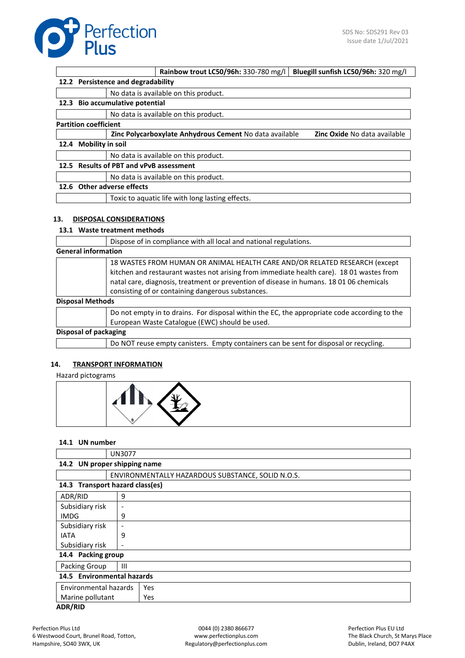

|      |                                           |                                   | Rainbow trout LC50/96h: 330-780 mg/l                    | Bluegill sunfish LC50/96h: 320 mg/l |  |
|------|-------------------------------------------|-----------------------------------|---------------------------------------------------------|-------------------------------------|--|
|      | 12.2 Persistence and degradability        |                                   |                                                         |                                     |  |
|      |                                           |                                   | No data is available on this product.                   |                                     |  |
| 12.3 |                                           | <b>Bio accumulative potential</b> |                                                         |                                     |  |
|      |                                           |                                   | No data is available on this product.                   |                                     |  |
|      | <b>Partition coefficient</b>              |                                   |                                                         |                                     |  |
|      |                                           |                                   | Zinc Polycarboxylate Anhydrous Cement No data available | Zinc Oxide No data available        |  |
| 12.4 | <b>Mobility in soil</b>                   |                                   |                                                         |                                     |  |
|      |                                           |                                   | No data is available on this product.                   |                                     |  |
| 12.5 | <b>Results of PBT and vPvB assessment</b> |                                   |                                                         |                                     |  |
|      |                                           |                                   | No data is available on this product.                   |                                     |  |
|      |                                           | 12.6 Other adverse effects        |                                                         |                                     |  |
|      |                                           |                                   | Toxic to aquatic life with long lasting effects.        |                                     |  |
|      |                                           |                                   |                                                         |                                     |  |

## **13. DISPOSAL CONSIDERATIONS**

**13.1 Waste treatment methods**

|                            | Dispose of in compliance with all local and national regulations.                                                                                                                                                                                                                                                      |
|----------------------------|------------------------------------------------------------------------------------------------------------------------------------------------------------------------------------------------------------------------------------------------------------------------------------------------------------------------|
| <b>General information</b> |                                                                                                                                                                                                                                                                                                                        |
|                            | 18 WASTES FROM HUMAN OR ANIMAL HEALTH CARE AND/OR RELATED RESEARCH (except<br>kitchen and restaurant wastes not arising from immediate health care). 18 01 wastes from<br>natal care, diagnosis, treatment or prevention of disease in humans. 18 01 06 chemicals<br>consisting of or containing dangerous substances. |
| <b>Disposal Methods</b>    |                                                                                                                                                                                                                                                                                                                        |
|                            | Do not empty in to drains. For disposal within the EC, the appropriate code according to the<br>European Waste Catalogue (EWC) should be used.                                                                                                                                                                         |
|                            | Disposal of packaging                                                                                                                                                                                                                                                                                                  |
|                            | Do NOT reuse empty canisters. Empty containers can be sent for disposal or recycling.                                                                                                                                                                                                                                  |

## **14. TRANSPORT INFORMATION**

Hazard pictograms



#### **14.1 UN number**

|                                 | <b>UN3077</b>                |                                                   |  |
|---------------------------------|------------------------------|---------------------------------------------------|--|
|                                 | 14.2 UN proper shipping name |                                                   |  |
|                                 |                              | ENVIRONMENTALLY HAZARDOUS SUBSTANCE, SOLID N.O.S. |  |
| 14.3 Transport hazard class(es) |                              |                                                   |  |
| ADR/RID                         | 9                            |                                                   |  |
| Subsidiary risk                 | $\overline{\phantom{0}}$     |                                                   |  |
| <b>IMDG</b>                     | 9                            |                                                   |  |
| Subsidiary risk                 |                              |                                                   |  |
| <b>IATA</b>                     | 9                            |                                                   |  |
| Subsidiary risk                 | $\overline{\phantom{a}}$     |                                                   |  |
| 14.4 Packing group              |                              |                                                   |  |
| Packing Group                   | $\mathbf{III}$               |                                                   |  |
| 14.5 Environmental hazards      |                              |                                                   |  |
| Environmental hazards           |                              | <b>Yes</b>                                        |  |
| Marine pollutant<br><b>Yes</b>  |                              |                                                   |  |
| <b>ADR/RID</b>                  |                              |                                                   |  |